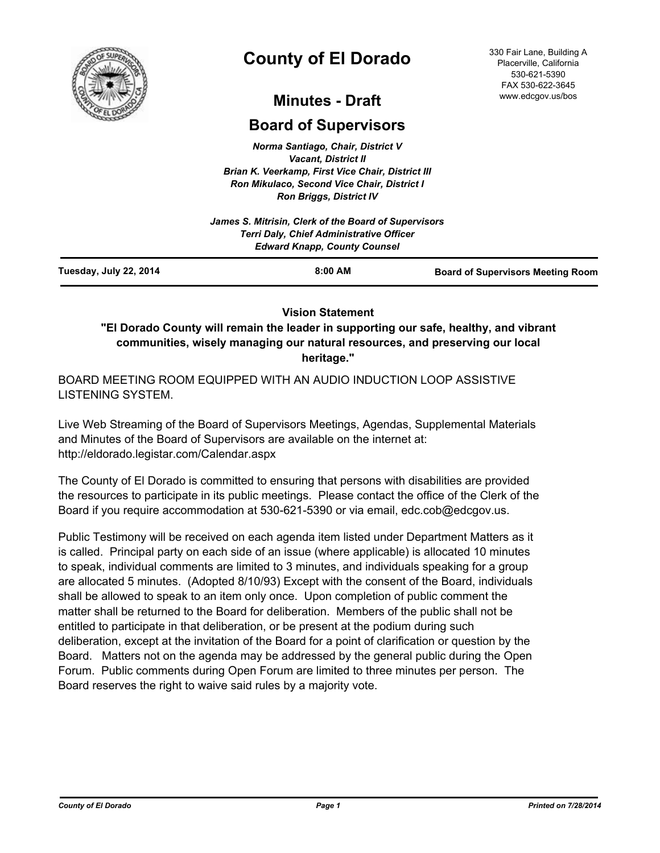

# **County of El Dorado**

330 Fair Lane, Building A Placerville, California 530-621-5390 FAX 530-622-3645 www.edcgov.us/bos

## **Minutes - Draft**

## **Board of Supervisors**

*Norma Santiago, Chair, District V Vacant, District II Brian K. Veerkamp, First Vice Chair, District III Ron Mikulaco, Second Vice Chair, District I Ron Briggs, District IV*

|                        | James S. Mitrisin, Clerk of the Board of Supervisors<br>Terri Daly, Chief Administrative Officer<br><b>Edward Knapp, County Counsel</b> |                                          |
|------------------------|-----------------------------------------------------------------------------------------------------------------------------------------|------------------------------------------|
| Tuesday, July 22, 2014 | $8:00$ AM                                                                                                                               | <b>Board of Supervisors Meeting Room</b> |

## **Vision Statement**

**"El Dorado County will remain the leader in supporting our safe, healthy, and vibrant communities, wisely managing our natural resources, and preserving our local heritage."**

BOARD MEETING ROOM EQUIPPED WITH AN AUDIO INDUCTION LOOP ASSISTIVE LISTENING SYSTEM.

Live Web Streaming of the Board of Supervisors Meetings, Agendas, Supplemental Materials and Minutes of the Board of Supervisors are available on the internet at: http://eldorado.legistar.com/Calendar.aspx

The County of El Dorado is committed to ensuring that persons with disabilities are provided the resources to participate in its public meetings. Please contact the office of the Clerk of the Board if you require accommodation at 530-621-5390 or via email, edc.cob@edcgov.us.

Public Testimony will be received on each agenda item listed under Department Matters as it is called. Principal party on each side of an issue (where applicable) is allocated 10 minutes to speak, individual comments are limited to 3 minutes, and individuals speaking for a group are allocated 5 minutes. (Adopted 8/10/93) Except with the consent of the Board, individuals shall be allowed to speak to an item only once. Upon completion of public comment the matter shall be returned to the Board for deliberation. Members of the public shall not be entitled to participate in that deliberation, or be present at the podium during such deliberation, except at the invitation of the Board for a point of clarification or question by the Board. Matters not on the agenda may be addressed by the general public during the Open Forum. Public comments during Open Forum are limited to three minutes per person. The Board reserves the right to waive said rules by a majority vote.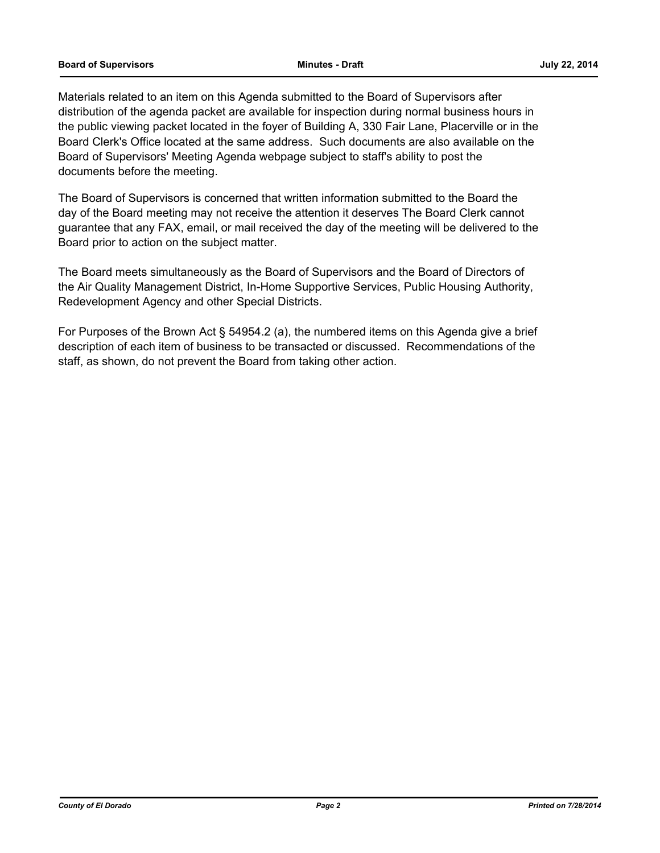#### **Board of Supervisors Minutes - Draft July 22, 2014**

Materials related to an item on this Agenda submitted to the Board of Supervisors after distribution of the agenda packet are available for inspection during normal business hours in the public viewing packet located in the foyer of Building A, 330 Fair Lane, Placerville or in the Board Clerk's Office located at the same address. Such documents are also available on the Board of Supervisors' Meeting Agenda webpage subject to staff's ability to post the documents before the meeting.

The Board of Supervisors is concerned that written information submitted to the Board the day of the Board meeting may not receive the attention it deserves The Board Clerk cannot guarantee that any FAX, email, or mail received the day of the meeting will be delivered to the Board prior to action on the subject matter.

The Board meets simultaneously as the Board of Supervisors and the Board of Directors of the Air Quality Management District, In-Home Supportive Services, Public Housing Authority, Redevelopment Agency and other Special Districts.

For Purposes of the Brown Act § 54954.2 (a), the numbered items on this Agenda give a brief description of each item of business to be transacted or discussed. Recommendations of the staff, as shown, do not prevent the Board from taking other action.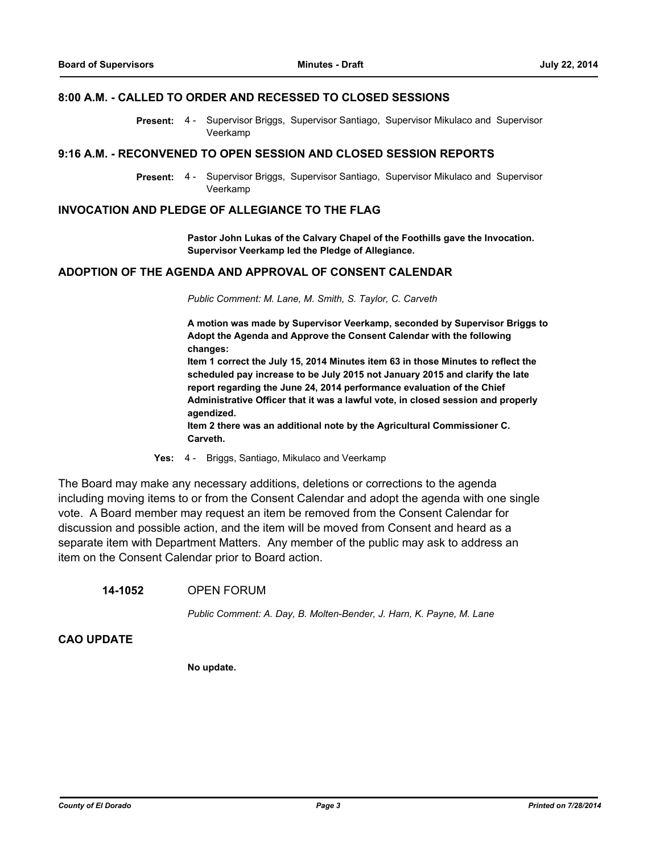## **8:00 A.M. - CALLED TO ORDER AND RECESSED TO CLOSED SESSIONS**

Supervisor Briggs, Supervisor Santiago, Supervisor Mikulaco and Supervisor Veerkamp **Present:** 4 -

#### **9:16 A.M. - RECONVENED TO OPEN SESSION AND CLOSED SESSION REPORTS**

Present: 4 - Supervisor Briggs, Supervisor Santiago, Supervisor Mikulaco and Supervisor Veerkamp

#### **INVOCATION AND PLEDGE OF ALLEGIANCE TO THE FLAG**

**Pastor John Lukas of the Calvary Chapel of the Foothills gave the Invocation. Supervisor Veerkamp led the Pledge of Allegiance.**

### **ADOPTION OF THE AGENDA AND APPROVAL OF CONSENT CALENDAR**

*Public Comment: M. Lane, M. Smith, S. Taylor, C. Carveth*

**A motion was made by Supervisor Veerkamp, seconded by Supervisor Briggs to Adopt the Agenda and Approve the Consent Calendar with the following changes:**

**Item 1 correct the July 15, 2014 Minutes item 63 in those Minutes to reflect the scheduled pay increase to be July 2015 not January 2015 and clarify the late report regarding the June 24, 2014 performance evaluation of the Chief Administrative Officer that it was a lawful vote, in closed session and properly agendized.**

**Item 2 there was an additional note by the Agricultural Commissioner C. Carveth.**

**Yes:** 4 - Briggs, Santiago, Mikulaco and Veerkamp

The Board may make any necessary additions, deletions or corrections to the agenda including moving items to or from the Consent Calendar and adopt the agenda with one single vote. A Board member may request an item be removed from the Consent Calendar for discussion and possible action, and the item will be moved from Consent and heard as a separate item with Department Matters. Any member of the public may ask to address an item on the Consent Calendar prior to Board action.

#### **14-1052** OPEN FORUM

*Public Comment: A. Day, B. Molten-Bender, J. Harn, K. Payne, M. Lane*

## **CAO UPDATE**

**No update.**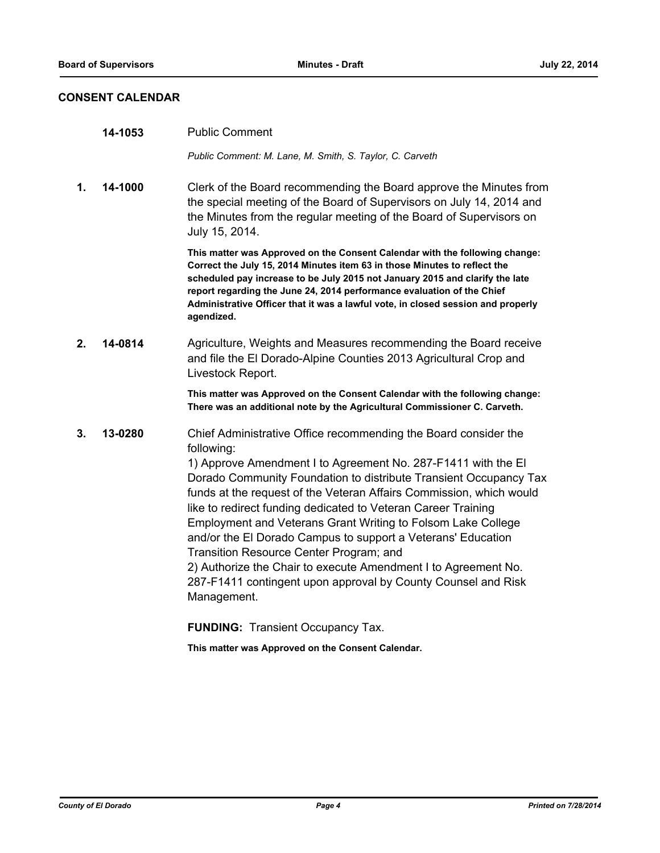## **CONSENT CALENDAR**

|         | 14-1053 | <b>Public Comment</b>                                                                                                                                                                                                                                                                                                                                                                                                                                                                                                                                                                                                                                                                    |
|---------|---------|------------------------------------------------------------------------------------------------------------------------------------------------------------------------------------------------------------------------------------------------------------------------------------------------------------------------------------------------------------------------------------------------------------------------------------------------------------------------------------------------------------------------------------------------------------------------------------------------------------------------------------------------------------------------------------------|
|         |         | Public Comment: M. Lane, M. Smith, S. Taylor, C. Carveth                                                                                                                                                                                                                                                                                                                                                                                                                                                                                                                                                                                                                                 |
| 1.      | 14-1000 | Clerk of the Board recommending the Board approve the Minutes from<br>the special meeting of the Board of Supervisors on July 14, 2014 and<br>the Minutes from the regular meeting of the Board of Supervisors on<br>July 15, 2014.                                                                                                                                                                                                                                                                                                                                                                                                                                                      |
|         |         | This matter was Approved on the Consent Calendar with the following change:<br>Correct the July 15, 2014 Minutes item 63 in those Minutes to reflect the<br>scheduled pay increase to be July 2015 not January 2015 and clarify the late<br>report regarding the June 24, 2014 performance evaluation of the Chief<br>Administrative Officer that it was a lawful vote, in closed session and properly<br>agendized.                                                                                                                                                                                                                                                                     |
| $2_{-}$ | 14-0814 | Agriculture, Weights and Measures recommending the Board receive<br>and file the El Dorado-Alpine Counties 2013 Agricultural Crop and<br>Livestock Report.                                                                                                                                                                                                                                                                                                                                                                                                                                                                                                                               |
|         |         | This matter was Approved on the Consent Calendar with the following change:<br>There was an additional note by the Agricultural Commissioner C. Carveth.                                                                                                                                                                                                                                                                                                                                                                                                                                                                                                                                 |
| 3.      | 13-0280 | Chief Administrative Office recommending the Board consider the<br>following:<br>1) Approve Amendment I to Agreement No. 287-F1411 with the EI<br>Dorado Community Foundation to distribute Transient Occupancy Tax<br>funds at the request of the Veteran Affairs Commission, which would<br>like to redirect funding dedicated to Veteran Career Training<br>Employment and Veterans Grant Writing to Folsom Lake College<br>and/or the El Dorado Campus to support a Veterans' Education<br>Transition Resource Center Program; and<br>2) Authorize the Chair to execute Amendment I to Agreement No.<br>287-F1411 contingent upon approval by County Counsel and Risk<br>Management. |
|         |         | <b>FUNDING: Transient Occupancy Tax.</b>                                                                                                                                                                                                                                                                                                                                                                                                                                                                                                                                                                                                                                                 |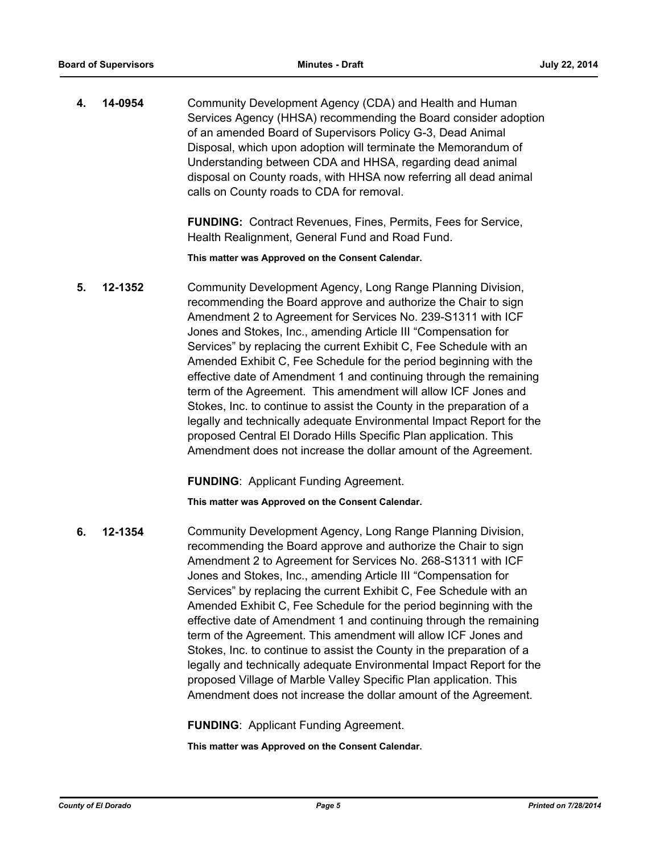**4. 14-0954** Community Development Agency (CDA) and Health and Human Services Agency (HHSA) recommending the Board consider adoption of an amended Board of Supervisors Policy G-3, Dead Animal Disposal, which upon adoption will terminate the Memorandum of Understanding between CDA and HHSA, regarding dead animal disposal on County roads, with HHSA now referring all dead animal calls on County roads to CDA for removal.

> **FUNDING:** Contract Revenues, Fines, Permits, Fees for Service, Health Realignment, General Fund and Road Fund.

**This matter was Approved on the Consent Calendar.**

**5. 12-1352** Community Development Agency, Long Range Planning Division, recommending the Board approve and authorize the Chair to sign Amendment 2 to Agreement for Services No. 239-S1311 with ICF Jones and Stokes, Inc., amending Article III "Compensation for Services" by replacing the current Exhibit C, Fee Schedule with an Amended Exhibit C, Fee Schedule for the period beginning with the effective date of Amendment 1 and continuing through the remaining term of the Agreement. This amendment will allow ICF Jones and Stokes, Inc. to continue to assist the County in the preparation of a legally and technically adequate Environmental Impact Report for the proposed Central El Dorado Hills Specific Plan application. This Amendment does not increase the dollar amount of the Agreement.

**FUNDING**:Applicant Funding Agreement.

**This matter was Approved on the Consent Calendar.**

**6. 12-1354** Community Development Agency, Long Range Planning Division, recommending the Board approve and authorize the Chair to sign Amendment 2 to Agreement for Services No. 268-S1311 with ICF Jones and Stokes, Inc., amending Article III "Compensation for Services" by replacing the current Exhibit C, Fee Schedule with an Amended Exhibit C, Fee Schedule for the period beginning with the effective date of Amendment 1 and continuing through the remaining term of the Agreement. This amendment will allow ICF Jones and Stokes, Inc. to continue to assist the County in the preparation of a legally and technically adequate Environmental Impact Report for the proposed Village of Marble Valley Specific Plan application. This Amendment does not increase the dollar amount of the Agreement.

**FUNDING**:Applicant Funding Agreement.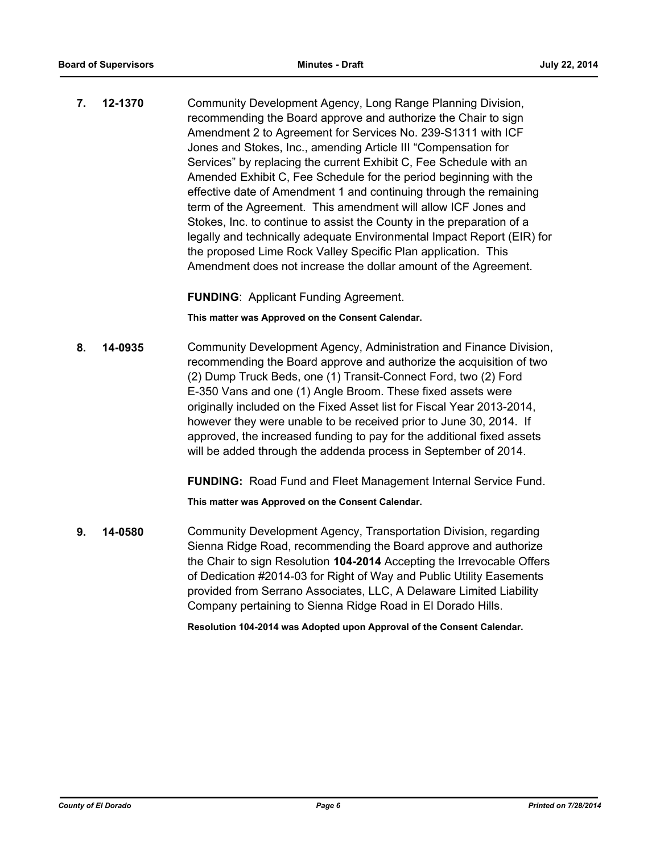**7. 12-1370** Community Development Agency, Long Range Planning Division, recommending the Board approve and authorize the Chair to sign Amendment 2 to Agreement for Services No. 239-S1311 with ICF Jones and Stokes, Inc., amending Article III "Compensation for Services" by replacing the current Exhibit C, Fee Schedule with an Amended Exhibit C, Fee Schedule for the period beginning with the effective date of Amendment 1 and continuing through the remaining term of the Agreement. This amendment will allow ICF Jones and Stokes, Inc. to continue to assist the County in the preparation of a legally and technically adequate Environmental Impact Report (EIR) for the proposed Lime Rock Valley Specific Plan application. This Amendment does not increase the dollar amount of the Agreement.

**FUNDING**:Applicant Funding Agreement.

**This matter was Approved on the Consent Calendar.**

**8. 14-0935** Community Development Agency, Administration and Finance Division, recommending the Board approve and authorize the acquisition of two (2) Dump Truck Beds, one (1) Transit-Connect Ford, two (2) Ford E-350 Vans and one (1) Angle Broom. These fixed assets were originally included on the Fixed Asset list for Fiscal Year 2013-2014, however they were unable to be received prior to June 30, 2014. If approved, the increased funding to pay for the additional fixed assets will be added through the addenda process in September of 2014.

**FUNDING:** Road Fund and Fleet Management Internal Service Fund.

**This matter was Approved on the Consent Calendar.**

**9. 14-0580** Community Development Agency, Transportation Division, regarding Sienna Ridge Road, recommending the Board approve and authorize the Chair to sign Resolution **104-2014** Accepting the Irrevocable Offers of Dedication #2014-03 for Right of Way and Public Utility Easements provided from Serrano Associates, LLC, A Delaware Limited Liability Company pertaining to Sienna Ridge Road in El Dorado Hills.

**Resolution 104-2014 was Adopted upon Approval of the Consent Calendar.**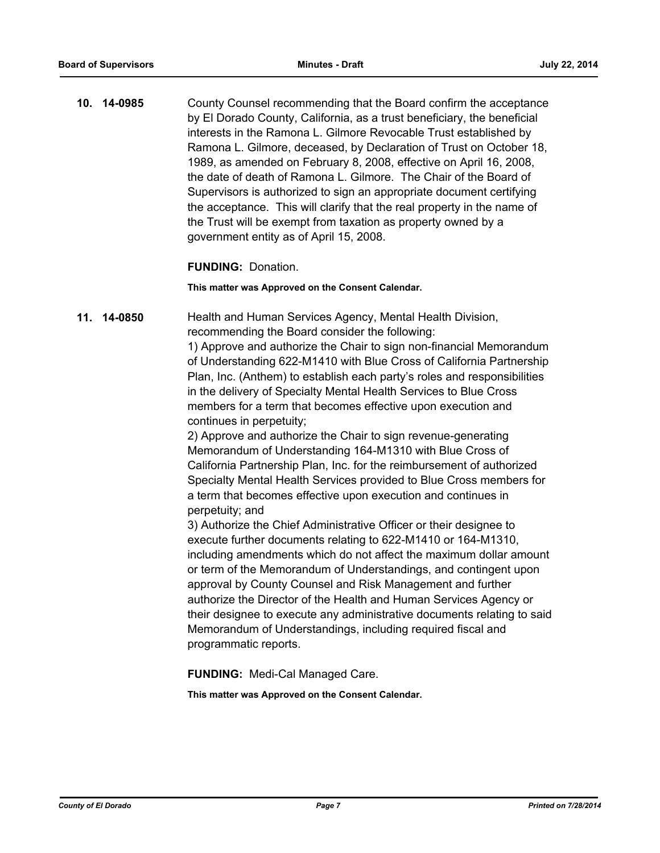**10. 14-0985** County Counsel recommending that the Board confirm the acceptance by El Dorado County, California, as a trust beneficiary, the beneficial interests in the Ramona L. Gilmore Revocable Trust established by Ramona L. Gilmore, deceased, by Declaration of Trust on October 18, 1989, as amended on February 8, 2008, effective on April 16, 2008, the date of death of Ramona L. Gilmore. The Chair of the Board of Supervisors is authorized to sign an appropriate document certifying the acceptance. This will clarify that the real property in the name of the Trust will be exempt from taxation as property owned by a government entity as of April 15, 2008.

## **FUNDING:** Donation.

#### **This matter was Approved on the Consent Calendar.**

**11. 14-0850** Health and Human Services Agency, Mental Health Division, recommending the Board consider the following: 1) Approve and authorize the Chair to sign non-financial Memorandum of Understanding 622-M1410 with Blue Cross of California Partnership Plan, Inc. (Anthem) to establish each party's roles and responsibilities in the delivery of Specialty Mental Health Services to Blue Cross members for a term that becomes effective upon execution and continues in perpetuity;

2) Approve and authorize the Chair to sign revenue-generating Memorandum of Understanding 164-M1310 with Blue Cross of California Partnership Plan, Inc. for the reimbursement of authorized Specialty Mental Health Services provided to Blue Cross members for a term that becomes effective upon execution and continues in perpetuity; and

3) Authorize the Chief Administrative Officer or their designee to execute further documents relating to 622-M1410 or 164-M1310, including amendments which do not affect the maximum dollar amount or term of the Memorandum of Understandings, and contingent upon approval by County Counsel and Risk Management and further authorize the Director of the Health and Human Services Agency or their designee to execute any administrative documents relating to said Memorandum of Understandings, including required fiscal and programmatic reports.

**FUNDING:** Medi-Cal Managed Care.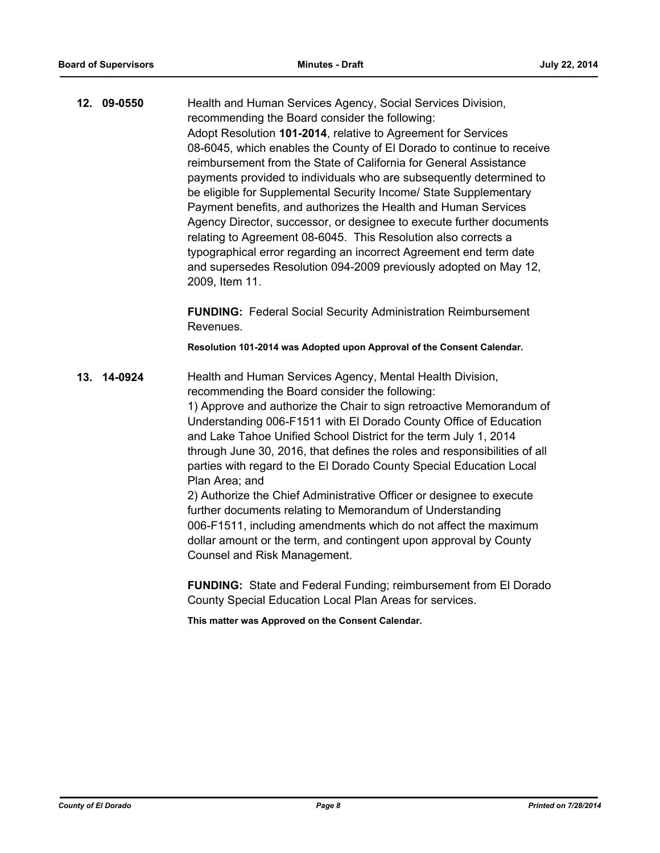**12. 09-0550** Health and Human Services Agency, Social Services Division, recommending the Board consider the following: Adopt Resolution **101-2014**, relative to Agreement for Services 08-6045, which enables the County of El Dorado to continue to receive reimbursement from the State of California for General Assistance payments provided to individuals who are subsequently determined to be eligible for Supplemental Security Income/ State Supplementary Payment benefits, and authorizes the Health and Human Services Agency Director, successor, or designee to execute further documents relating to Agreement 08-6045. This Resolution also corrects a typographical error regarding an incorrect Agreement end term date and supersedes Resolution 094-2009 previously adopted on May 12, 2009, Item 11.

> **FUNDING:** Federal Social Security Administration Reimbursement Revenues.

**Resolution 101-2014 was Adopted upon Approval of the Consent Calendar.**

**13. 14-0924** Health and Human Services Agency, Mental Health Division, recommending the Board consider the following: 1) Approve and authorize the Chair to sign retroactive Memorandum of Understanding 006-F1511 with El Dorado County Office of Education and Lake Tahoe Unified School District for the term July 1, 2014 through June 30, 2016, that defines the roles and responsibilities of all parties with regard to the El Dorado County Special Education Local Plan Area; and 2) Authorize the Chief Administrative Officer or designee to execute further documents relating to Memorandum of Understanding 006-F1511, including amendments which do not affect the maximum dollar amount or the term, and contingent upon approval by County Counsel and Risk Management.

> **FUNDING:** State and Federal Funding; reimbursement from El Dorado County Special Education Local Plan Areas for services.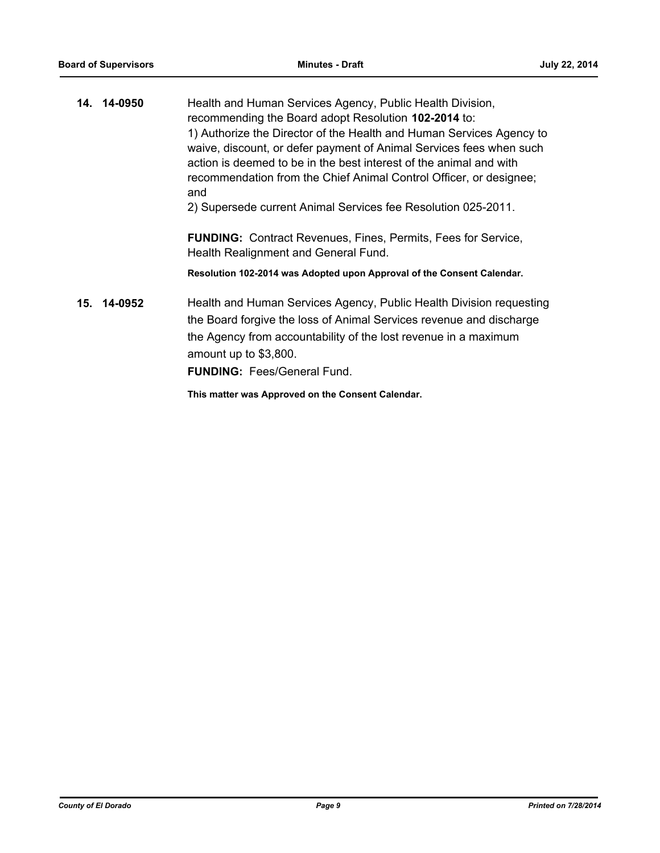| 14. 14-0950 | Health and Human Services Agency, Public Health Division,<br>recommending the Board adopt Resolution 102-2014 to:<br>1) Authorize the Director of the Health and Human Services Agency to<br>waive, discount, or defer payment of Animal Services fees when such<br>action is deemed to be in the best interest of the animal and with<br>recommendation from the Chief Animal Control Officer, or designee;<br>and<br>2) Supersede current Animal Services fee Resolution 025-2011. |
|-------------|--------------------------------------------------------------------------------------------------------------------------------------------------------------------------------------------------------------------------------------------------------------------------------------------------------------------------------------------------------------------------------------------------------------------------------------------------------------------------------------|
|             | <b>FUNDING:</b> Contract Revenues, Fines, Permits, Fees for Service,<br>Health Realignment and General Fund.                                                                                                                                                                                                                                                                                                                                                                         |
|             | Resolution 102-2014 was Adopted upon Approval of the Consent Calendar.                                                                                                                                                                                                                                                                                                                                                                                                               |
| 15. 14-0952 | Health and Human Services Agency, Public Health Division requesting<br>the Board forgive the loss of Animal Services revenue and discharge<br>the Agency from accountability of the lost revenue in a maximum<br>amount up to \$3,800.<br><b>FUNDING: Fees/General Fund.</b>                                                                                                                                                                                                         |
|             | This matter was Approved on the Consent Calendar.                                                                                                                                                                                                                                                                                                                                                                                                                                    |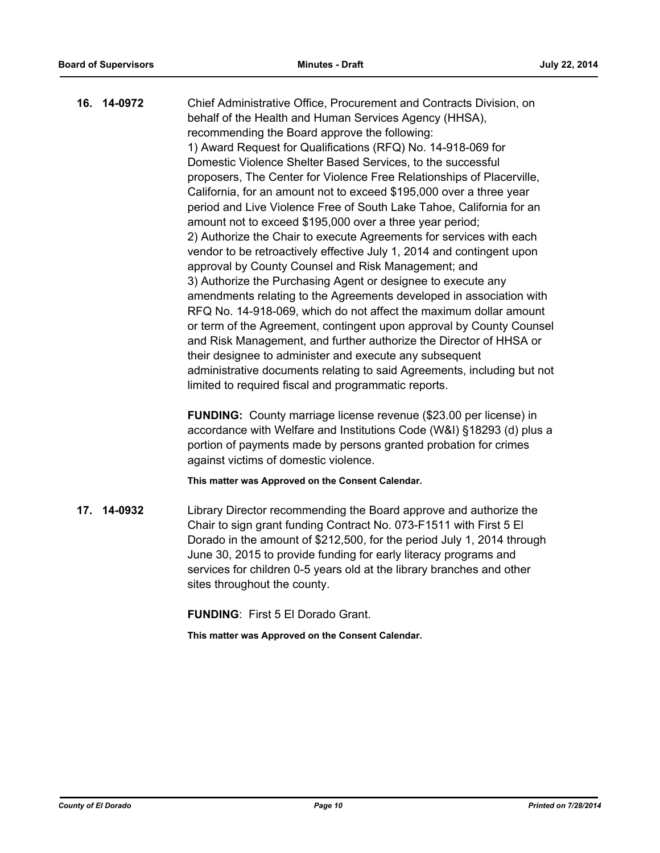| 16. 14-0972 | Chief Administrative Office, Procurement and Contracts Division, on      |
|-------------|--------------------------------------------------------------------------|
|             | behalf of the Health and Human Services Agency (HHSA),                   |
|             | recommending the Board approve the following:                            |
|             | 1) Award Request for Qualifications (RFQ) No. 14-918-069 for             |
|             | Domestic Violence Shelter Based Services, to the successful              |
|             | proposers, The Center for Violence Free Relationships of Placerville,    |
|             | California, for an amount not to exceed \$195,000 over a three year      |
|             | period and Live Violence Free of South Lake Tahoe, California for an     |
|             | amount not to exceed \$195,000 over a three year period;                 |
|             | 2) Authorize the Chair to execute Agreements for services with each      |
|             | vendor to be retroactively effective July 1, 2014 and contingent upon    |
|             | approval by County Counsel and Risk Management; and                      |
|             | 3) Authorize the Purchasing Agent or designee to execute any             |
|             | amendments relating to the Agreements developed in association with      |
|             | RFQ No. 14-918-069, which do not affect the maximum dollar amount        |
|             | or term of the Agreement, contingent upon approval by County Counsel     |
|             | and Risk Management, and further authorize the Director of HHSA or       |
|             | their designee to administer and execute any subsequent                  |
|             | administrative documents relating to said Agreements, including but not  |
|             | limited to required fiscal and programmatic reports.                     |
|             | <b>FUNDING:</b> County marriage license revenue (\$23.00 per license) in |
|             |                                                                          |

**FUNDING:** County marriage license revenue (\$23.00 per license) in accordance with Welfare and Institutions Code (W&I) §18293 (d) plus a portion of payments made by persons granted probation for crimes against victims of domestic violence.

**This matter was Approved on the Consent Calendar.**

**17. 14-0932** Library Director recommending the Board approve and authorize the Chair to sign grant funding Contract No. 073-F1511 with First 5 El Dorado in the amount of \$212,500, for the period July 1, 2014 through June 30, 2015 to provide funding for early literacy programs and services for children 0-5 years old at the library branches and other sites throughout the county.

**FUNDING**: First 5 El Dorado Grant.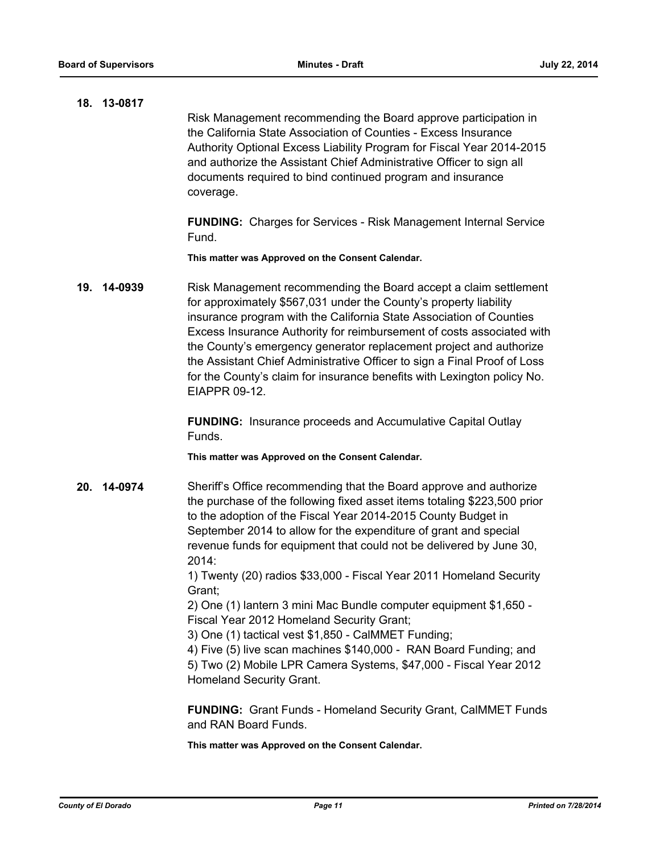| 18. 13-0817 | Risk Management recommending the Board approve participation in<br>the California State Association of Counties - Excess Insurance<br>Authority Optional Excess Liability Program for Fiscal Year 2014-2015<br>and authorize the Assistant Chief Administrative Officer to sign all<br>documents required to bind continued program and insurance<br>coverage.                                                                                                                                                                      |
|-------------|-------------------------------------------------------------------------------------------------------------------------------------------------------------------------------------------------------------------------------------------------------------------------------------------------------------------------------------------------------------------------------------------------------------------------------------------------------------------------------------------------------------------------------------|
|             | <b>FUNDING:</b> Charges for Services - Risk Management Internal Service<br>Fund.                                                                                                                                                                                                                                                                                                                                                                                                                                                    |
|             | This matter was Approved on the Consent Calendar.                                                                                                                                                                                                                                                                                                                                                                                                                                                                                   |
| 19. 14-0939 | Risk Management recommending the Board accept a claim settlement<br>for approximately \$567,031 under the County's property liability<br>insurance program with the California State Association of Counties<br>Excess Insurance Authority for reimbursement of costs associated with<br>the County's emergency generator replacement project and authorize<br>the Assistant Chief Administrative Officer to sign a Final Proof of Loss<br>for the County's claim for insurance benefits with Lexington policy No.<br>EIAPPR 09-12. |
|             | <b>FUNDING:</b> Insurance proceeds and Accumulative Capital Outlay<br>Funds.                                                                                                                                                                                                                                                                                                                                                                                                                                                        |
|             | This matter was Approved on the Consent Calendar.                                                                                                                                                                                                                                                                                                                                                                                                                                                                                   |
| 20. 14-0974 | Sheriff's Office recommending that the Board approve and authorize<br>the purchase of the following fixed asset items totaling \$223,500 prior<br>to the adoption of the Fiscal Year 2014-2015 County Budget in<br>September 2014 to allow for the expenditure of grant and special<br>revenue funds for equipment that could not be delivered by June 30,<br>2014:                                                                                                                                                                 |
|             | 1) Twenty (20) radios \$33,000 - Fiscal Year 2011 Homeland Security<br>Grant;                                                                                                                                                                                                                                                                                                                                                                                                                                                       |
|             | 2) One (1) lantern 3 mini Mac Bundle computer equipment \$1,650 -<br>Fiscal Year 2012 Homeland Security Grant;<br>3) One (1) tactical vest \$1,850 - CalMMET Funding;                                                                                                                                                                                                                                                                                                                                                               |
|             | 4) Five (5) live scan machines \$140,000 - RAN Board Funding; and<br>5) Two (2) Mobile LPR Camera Systems, \$47,000 - Fiscal Year 2012<br>Homeland Security Grant.                                                                                                                                                                                                                                                                                                                                                                  |
|             | <b>FUNDING:</b> Grant Funds - Homeland Security Grant, CalMMET Funds<br>and RAN Board Funds.                                                                                                                                                                                                                                                                                                                                                                                                                                        |
|             | This matter was Approved on the Consent Calendar.                                                                                                                                                                                                                                                                                                                                                                                                                                                                                   |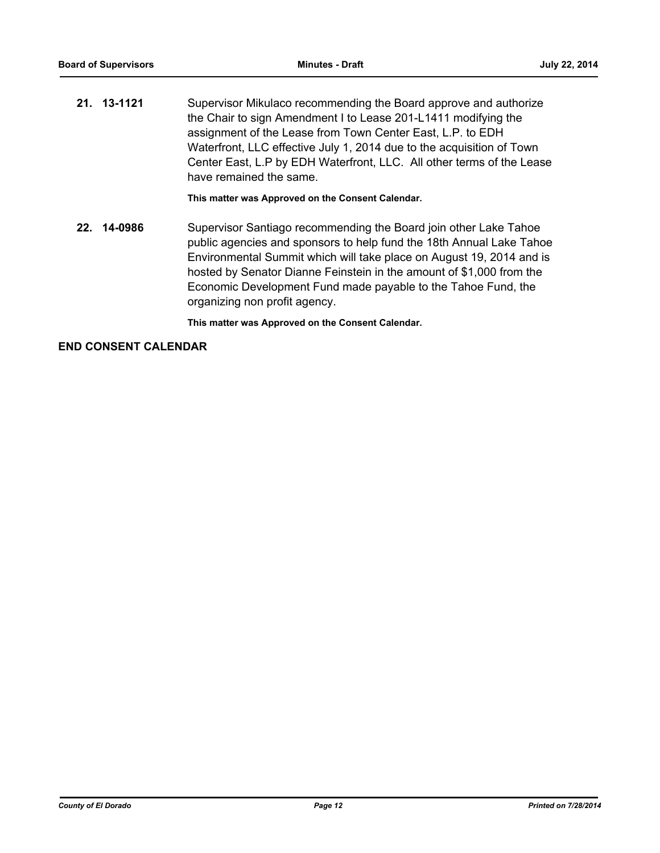**21. 13-1121** Supervisor Mikulaco recommending the Board approve and authorize the Chair to sign Amendment I to Lease 201-L1411 modifying the assignment of the Lease from Town Center East, L.P. to EDH Waterfront, LLC effective July 1, 2014 due to the acquisition of Town Center East, L.P by EDH Waterfront, LLC. All other terms of the Lease have remained the same.

**This matter was Approved on the Consent Calendar.**

**22. 14-0986** Supervisor Santiago recommending the Board join other Lake Tahoe public agencies and sponsors to help fund the 18th Annual Lake Tahoe Environmental Summit which will take place on August 19, 2014 and is hosted by Senator Dianne Feinstein in the amount of \$1,000 from the Economic Development Fund made payable to the Tahoe Fund, the organizing non profit agency.

**This matter was Approved on the Consent Calendar.**

## **END CONSENT CALENDAR**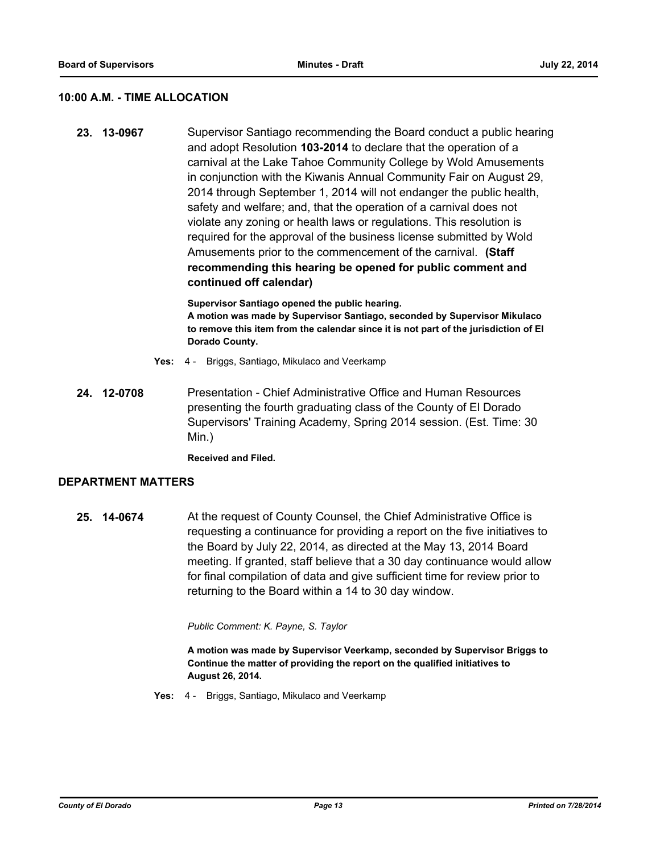#### **10:00 A.M. - TIME ALLOCATION**

**23. 13-0967** Supervisor Santiago recommending the Board conduct a public hearing and adopt Resolution **103-2014** to declare that the operation of a carnival at the Lake Tahoe Community College by Wold Amusements in conjunction with the Kiwanis Annual Community Fair on August 29, 2014 through September 1, 2014 will not endanger the public health, safety and welfare; and, that the operation of a carnival does not violate any zoning or health laws or regulations. This resolution is required for the approval of the business license submitted by Wold Amusements prior to the commencement of the carnival. **(Staff recommending this hearing be opened for public comment and continued off calendar)**

> **Supervisor Santiago opened the public hearing. A motion was made by Supervisor Santiago, seconded by Supervisor Mikulaco to remove this item from the calendar since it is not part of the jurisdiction of El Dorado County.**

- **Yes:** 4 Briggs, Santiago, Mikulaco and Veerkamp
- **24. 12-0708** Presentation Chief Administrative Office and Human Resources presenting the fourth graduating class of the County of El Dorado Supervisors' Training Academy, Spring 2014 session. (Est. Time: 30 Min.)

**Received and Filed.**

#### **DEPARTMENT MATTERS**

**25. 14-0674** At the request of County Counsel, the Chief Administrative Office is requesting a continuance for providing a report on the five initiatives to the Board by July 22, 2014, as directed at the May 13, 2014 Board meeting. If granted, staff believe that a 30 day continuance would allow for final compilation of data and give sufficient time for review prior to returning to the Board within a 14 to 30 day window.

*Public Comment: K. Payne, S. Taylor*

**A motion was made by Supervisor Veerkamp, seconded by Supervisor Briggs to Continue the matter of providing the report on the qualified initiatives to August 26, 2014.**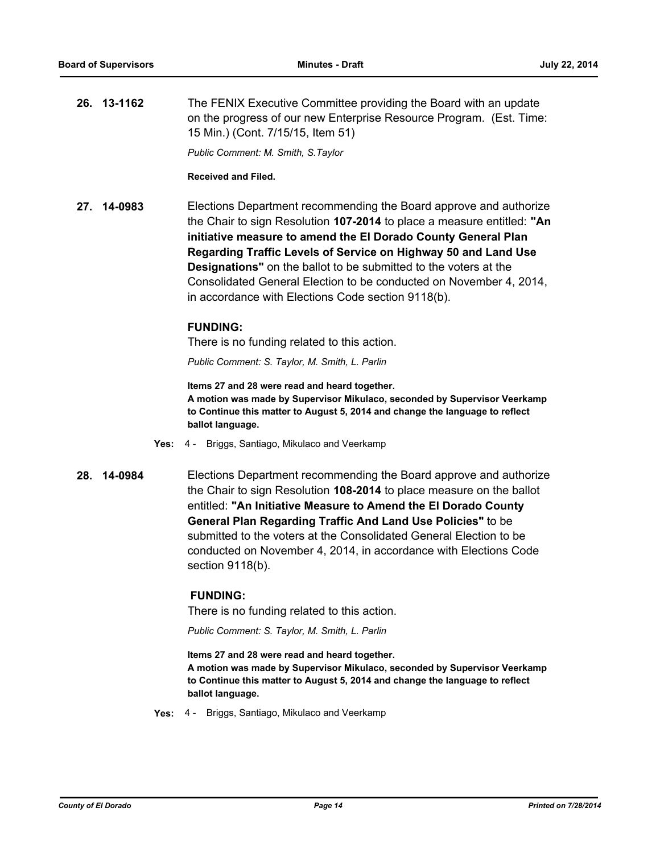**26. 13-1162** The FENIX Executive Committee providing the Board with an update on the progress of our new Enterprise Resource Program. (Est. Time: 15 Min.) (Cont. 7/15/15, Item 51)

*Public Comment: M. Smith, S.Taylor*

#### **Received and Filed.**

**27. 14-0983** Elections Department recommending the Board approve and authorize the Chair to sign Resolution **107-2014** to place a measure entitled: **"An initiative measure to amend the El Dorado County General Plan Regarding Traffic Levels of Service on Highway 50 and Land Use Designations"** on the ballot to be submitted to the voters at the Consolidated General Election to be conducted on November 4, 2014, in accordance with Elections Code section 9118(b).

#### **FUNDING:**

There is no funding related to this action.

*Public Comment: S. Taylor, M. Smith, L. Parlin*

**Items 27 and 28 were read and heard together. A motion was made by Supervisor Mikulaco, seconded by Supervisor Veerkamp to Continue this matter to August 5, 2014 and change the language to reflect ballot language.**

- **Yes:** 4 Briggs, Santiago, Mikulaco and Veerkamp
- 

**28. 14-0984** Elections Department recommending the Board approve and authorize the Chair to sign Resolution **108-2014** to place measure on the ballot entitled: **"An Initiative Measure to Amend the El Dorado County General Plan Regarding Traffic And Land Use Policies"** to be submitted to the voters at the Consolidated General Election to be conducted on November 4, 2014, in accordance with Elections Code section 9118(b).

#### **FUNDING:**

There is no funding related to this action.

*Public Comment: S. Taylor, M. Smith, L. Parlin*

**Items 27 and 28 were read and heard together. A motion was made by Supervisor Mikulaco, seconded by Supervisor Veerkamp to Continue this matter to August 5, 2014 and change the language to reflect ballot language.**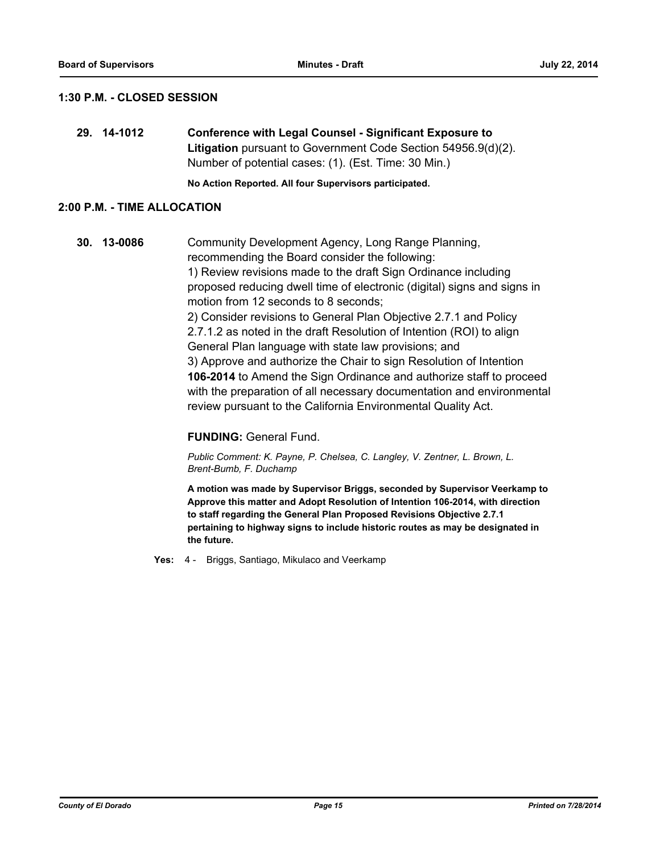## **1:30 P.M. - CLOSED SESSION**

**29. 14-1012 Conference with Legal Counsel - Significant Exposure to Litigation** pursuant to Government Code Section 54956.9(d)(2). Number of potential cases: (1). (Est. Time: 30 Min.)

**No Action Reported. All four Supervisors participated.**

### **2:00 P.M. - TIME ALLOCATION**

**30. 13-0086** Community Development Agency, Long Range Planning, recommending the Board consider the following: 1) Review revisions made to the draft Sign Ordinance including proposed reducing dwell time of electronic (digital) signs and signs in motion from 12 seconds to 8 seconds; 2) Consider revisions to General Plan Objective 2.7.1 and Policy 2.7.1.2 as noted in the draft Resolution of Intention (ROI) to align General Plan language with state law provisions; and 3) Approve and authorize the Chair to sign Resolution of Intention **106-2014** to Amend the Sign Ordinance and authorize staff to proceed with the preparation of all necessary documentation and environmental review pursuant to the California Environmental Quality Act.

#### **FUNDING:** General Fund.

*Public Comment: K. Payne, P. Chelsea, C. Langley, V. Zentner, L. Brown, L. Brent-Bumb, F. Duchamp*

**A motion was made by Supervisor Briggs, seconded by Supervisor Veerkamp to Approve this matter and Adopt Resolution of Intention 106-2014, with direction to staff regarding the General Plan Proposed Revisions Objective 2.7.1 pertaining to highway signs to include historic routes as may be designated in the future.**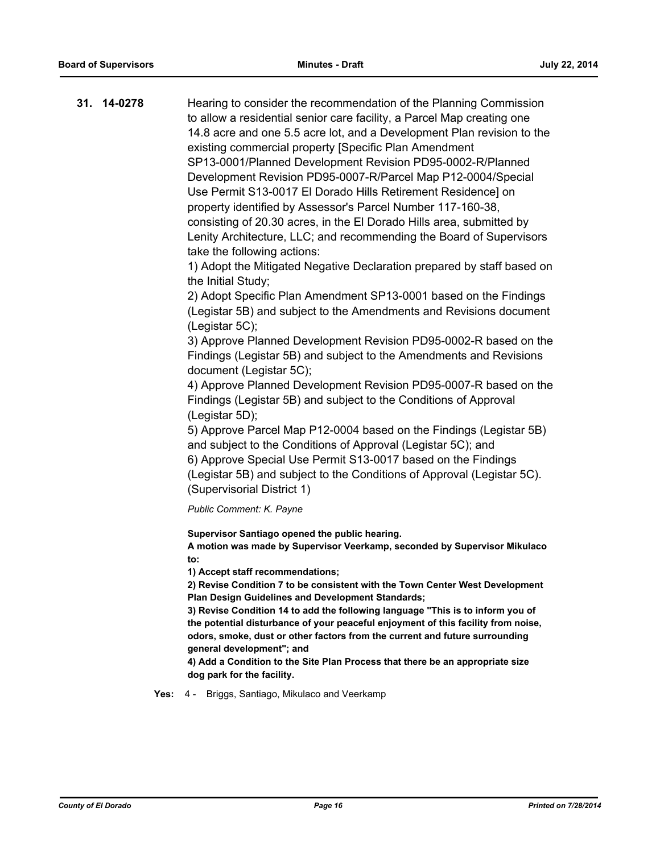| 31. 14-0278 | Hearing to consider the recommendation of the Planning Commission<br>to allow a residential senior care facility, a Parcel Map creating one |
|-------------|---------------------------------------------------------------------------------------------------------------------------------------------|
|             | 14.8 acre and one 5.5 acre lot, and a Development Plan revision to the                                                                      |
|             | existing commercial property [Specific Plan Amendment                                                                                       |
|             | SP13-0001/Planned Development Revision PD95-0002-R/Planned                                                                                  |
|             | Development Revision PD95-0007-R/Parcel Map P12-0004/Special                                                                                |
|             | Use Permit S13-0017 El Dorado Hills Retirement Residence] on                                                                                |
|             | property identified by Assessor's Parcel Number 117-160-38,                                                                                 |
|             | consisting of 20.30 acres, in the El Dorado Hills area, submitted by                                                                        |
|             | Lenity Architecture, LLC; and recommending the Board of Supervisors                                                                         |
|             | take the following actions:                                                                                                                 |
|             | 1) Adopt the Mitigated Negative Declaration prepared by staff based on<br>the Initial Study;                                                |
|             | 2) Adopt Specific Plan Amendment SP13-0001 based on the Findings                                                                            |
|             | (Legistar 5B) and subject to the Amendments and Revisions document<br>(Legistar 5C);                                                        |
|             | 3) Approve Planned Development Revision PD95-0002-R based on the                                                                            |
|             | Findings (Legistar 5B) and subject to the Amendments and Revisions                                                                          |
|             | document (Legistar 5C);                                                                                                                     |
|             | 4) Approve Planned Development Revision PD95-0007-R based on the                                                                            |
|             | Findings (Legistar 5B) and subject to the Conditions of Approval                                                                            |
|             | (Legistar 5D);                                                                                                                              |

5) Approve Parcel Map P12-0004 based on the Findings (Legistar 5B) and subject to the Conditions of Approval (Legistar 5C); and 6) Approve Special Use Permit S13-0017 based on the Findings (Legistar 5B) and subject to the Conditions of Approval (Legistar 5C). (Supervisorial District 1)

*Public Comment: K. Payne*

**Supervisor Santiago opened the public hearing.**

**A motion was made by Supervisor Veerkamp, seconded by Supervisor Mikulaco to:**

**1) Accept staff recommendations;**

**2) Revise Condition 7 to be consistent with the Town Center West Development Plan Design Guidelines and Development Standards;**

**3) Revise Condition 14 to add the following language "This is to inform you of the potential disturbance of your peaceful enjoyment of this facility from noise, odors, smoke, dust or other factors from the current and future surrounding general development"; and**

**4) Add a Condition to the Site Plan Process that there be an appropriate size dog park for the facility.**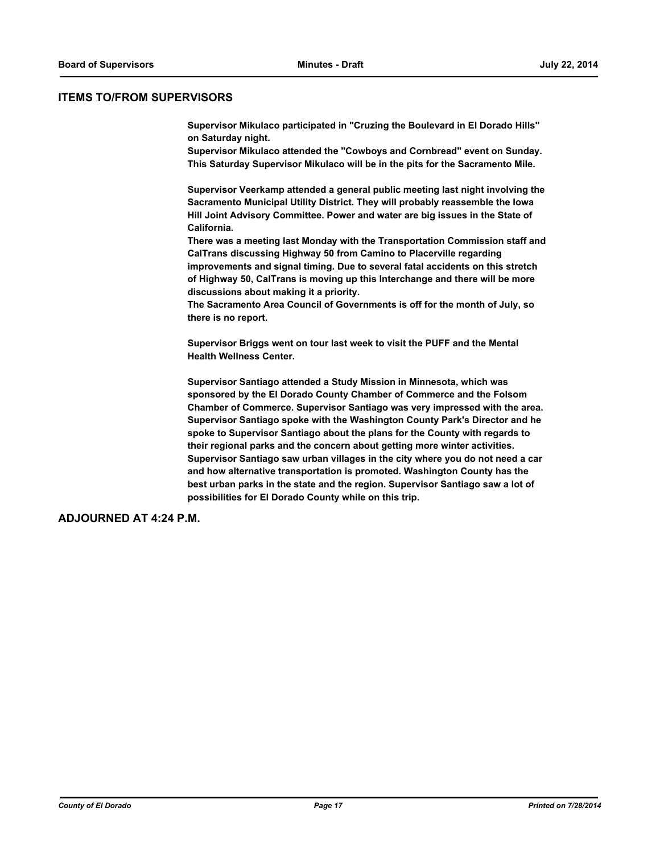#### **ITEMS TO/FROM SUPERVISORS**

**Supervisor Mikulaco participated in "Cruzing the Boulevard in El Dorado Hills" on Saturday night.** 

**Supervisor Mikulaco attended the "Cowboys and Cornbread" event on Sunday. This Saturday Supervisor Mikulaco will be in the pits for the Sacramento Mile.**

**Supervisor Veerkamp attended a general public meeting last night involving the Sacramento Municipal Utility District. They will probably reassemble the Iowa Hill Joint Advisory Committee. Power and water are big issues in the State of California.**

**There was a meeting last Monday with the Transportation Commission staff and CalTrans discussing Highway 50 from Camino to Placerville regarding improvements and signal timing. Due to several fatal accidents on this stretch of Highway 50, CalTrans is moving up this Interchange and there will be more discussions about making it a priority.** 

**The Sacramento Area Council of Governments is off for the month of July, so there is no report.**

**Supervisor Briggs went on tour last week to visit the PUFF and the Mental Health Wellness Center.** 

**Supervisor Santiago attended a Study Mission in Minnesota, which was sponsored by the El Dorado County Chamber of Commerce and the Folsom Chamber of Commerce. Supervisor Santiago was very impressed with the area. Supervisor Santiago spoke with the Washington County Park's Director and he spoke to Supervisor Santiago about the plans for the County with regards to their regional parks and the concern about getting more winter activities. Supervisor Santiago saw urban villages in the city where you do not need a car and how alternative transportation is promoted. Washington County has the best urban parks in the state and the region. Supervisor Santiago saw a lot of possibilities for El Dorado County while on this trip.**

**ADJOURNED AT 4:24 P.M.**